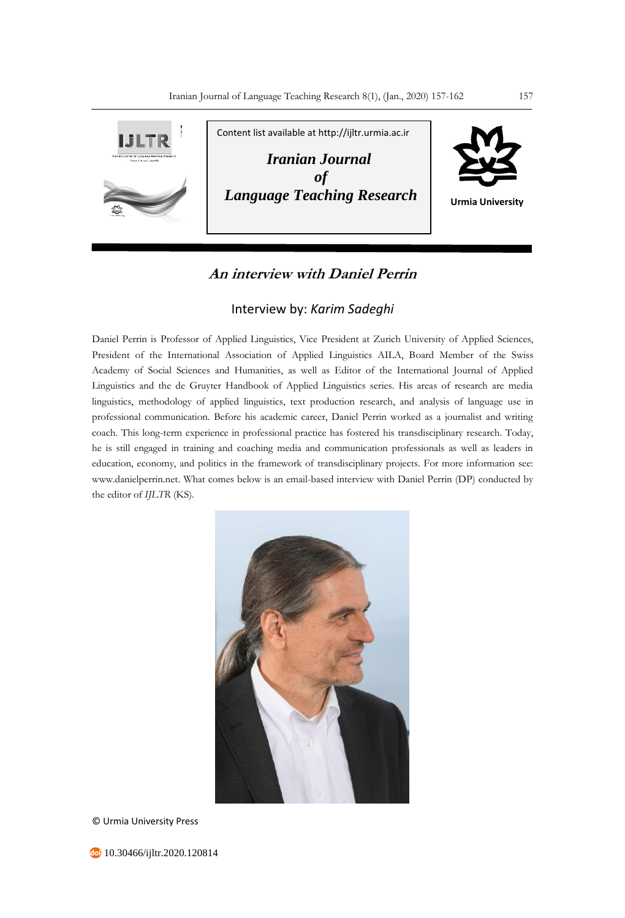

# **An interview with Daniel Perrin**

## Interview by: *Karim Sadeghi*

Daniel Perrin is Professor of Applied Linguistics, Vice President at Zurich University of Applied Sciences, President of the International Association of Applied Linguistics AILA, Board Member of the Swiss Academy of Social Sciences and Humanities, as well as Editor of the International Journal of Applied Linguistics and the de Gruyter Handbook of Applied Linguistics series. His areas of research are media linguistics, methodology of applied linguistics, text production research, and analysis of language use in professional communication. Before his academic career, Daniel Perrin worked as a journalist and writing coach. This long-term experience in professional practice has fostered his transdisciplinary research. Today, he is still engaged in training and coaching media and communication professionals as well as leaders in education, economy, and politics in the framework of transdisciplinary projects. For more information see: www.danielperrin.net. What comes below is an email-based interview with Daniel Perrin (DP) conducted by the editor of *IJLTR* (KS).



© Urmia University Press

**40** 10.30466/ijltr.2020.120814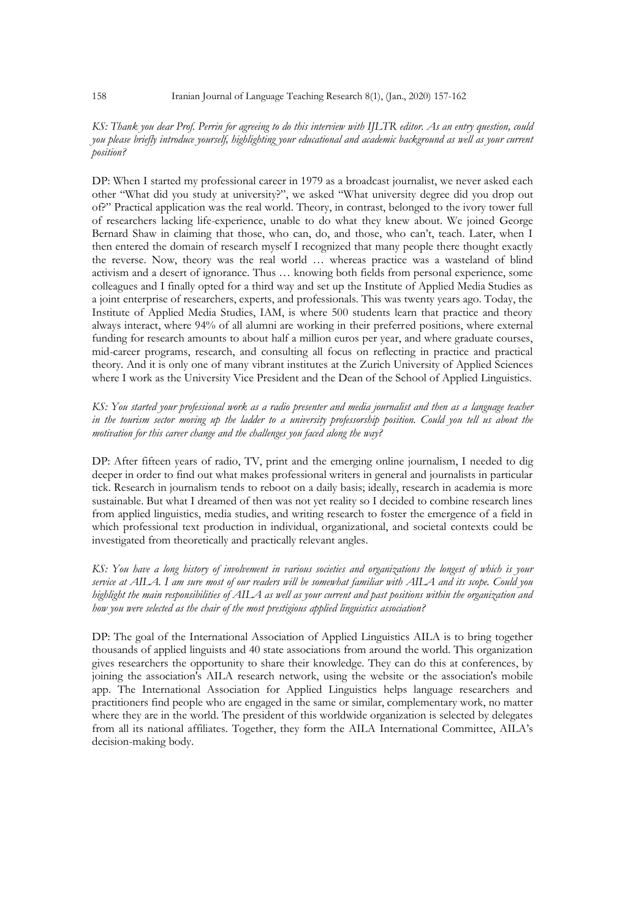### *KS: Thank you dear Prof. Perrin for agreeing to do this interview with IJLTR editor. As an entry question, could you please briefly introduce yourself, highlighting your educational and academic background as well as your current position?*

DP: When I started my professional career in 1979 as a broadcast journalist, we never asked each other "What did you study at university?", we asked "What university degree did you drop out of?" Practical application was the real world. Theory, in contrast, belonged to the ivory tower full of researchers lacking life-experience, unable to do what they knew about. We joined George Bernard Shaw in claiming that those, who can, do, and those, who can't, teach. Later, when I then entered the domain of research myself I recognized that many people there thought exactly the reverse. Now, theory was the real world … whereas practice was a wasteland of blind activism and a desert of ignorance. Thus … knowing both fields from personal experience, some colleagues and I finally opted for a third way and set up the Institute of Applied Media Studies as a joint enterprise of researchers, experts, and professionals. This was twenty years ago. Today, the Institute of Applied Media Studies, IAM, is where 500 students learn that practice and theory always interact, where 94% of all alumni are working in their preferred positions, where external funding for research amounts to about half a million euros per year, and where graduate courses, mid-career programs, research, and consulting all focus on reflecting in practice and practical theory. And it is only one of many vibrant institutes at the Zurich University of Applied Sciences where I work as the University Vice President and the Dean of the School of Applied Linguistics.

*KS: You started your professional work as a radio presenter and media journalist and then as a language teacher in the tourism sector moving up the ladder to a university professorship position. Could you tell us about the motivation for this career change and the challenges you faced along the way?* 

DP: After fifteen years of radio, TV, print and the emerging online journalism, I needed to dig deeper in order to find out what makes professional writers in general and journalists in particular tick. Research in journalism tends to reboot on a daily basis; ideally, research in academia is more sustainable. But what I dreamed of then was not yet reality so I decided to combine research lines from applied linguistics, media studies, and writing research to foster the emergence of a field in which professional text production in individual, organizational, and societal contexts could be investigated from theoretically and practically relevant angles.

*KS: You have a long history of involvement in various societies and organizations the longest of which is your service at AILA. I am sure most of our readers will be somewhat familiar with AILA and its scope. Could you highlight the main responsibilities of AILA as well as your current and past positions within the organization and how you were selected as the chair of the most prestigious applied linguistics association?* 

DP: The goal of the International Association of Applied Linguistics AILA is to bring together thousands of applied linguists and 40 state associations from around the world. This organization gives researchers the opportunity to share their knowledge. They can do this at conferences, by joining the association's AILA research network, using the website or the association's mobile app. The International Association for Applied Linguistics helps language researchers and practitioners find people who are engaged in the same or similar, complementary work, no matter where they are in the world. The president of this worldwide organization is selected by delegates from all its national affiliates. Together, they form the AILA International Committee, AILA's decision-making body.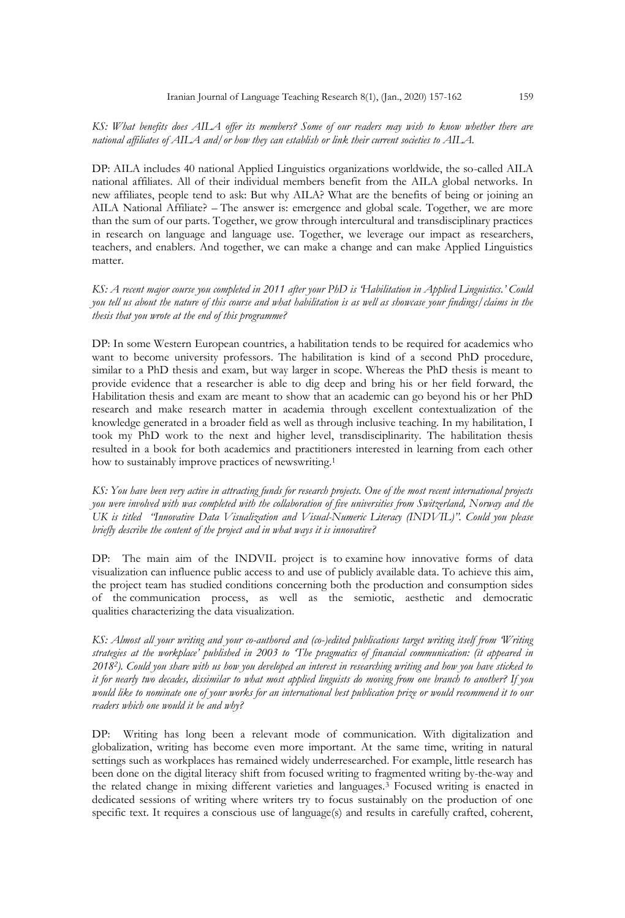### *KS: What benefits does AILA offer its members? Some of our readers may wish to know whether there are national affiliates of AILA and/or how they can establish or link their current societies to AILA.*

DP: AILA includes 40 national Applied Linguistics organizations worldwide, the so-called AILA national affiliates. All of their individual members benefit from the AILA global networks. In new affiliates, people tend to ask: But why AILA? What are the benefits of being or joining an AILA National Affiliate? – The answer is: emergence and global scale. Together, we are more than the sum of our parts. Together, we grow through intercultural and transdisciplinary practices in research on language and language use. Together, we leverage our impact as researchers, teachers, and enablers. And together, we can make a change and can make Applied Linguistics matter.

*KS: A recent major course you completed in 2011 after your PhD is 'Habilitation in Applied Linguistics.' Could you tell us about the nature of this course and what habilitation is as well as showcase your findings/claims in the thesis that you wrote at the end of this programme?* 

DP: In some Western European countries, a habilitation tends to be required for academics who want to become university professors. The habilitation is kind of a second PhD procedure, similar to a PhD thesis and exam, but way larger in scope. Whereas the PhD thesis is meant to provide evidence that a researcher is able to dig deep and bring his or her field forward, the Habilitation thesis and exam are meant to show that an academic can go beyond his or her PhD research and make research matter in academia through excellent contextualization of the knowledge generated in a broader field as well as through inclusive teaching. In my habilitation, I took my PhD work to the next and higher level, transdisciplinarity. The habilitation thesis resulted in a book for both academics and practitioners interested in learning from each other how to sustainably improve practices of newswriting. 1

*KS: You have been very active in attracting funds for research projects. One of the most recent international projects you were involved with was completed with the collaboration of five universities from Switzerland, Norway and the UK is titled "Innovative Data Visualization and Visual-Numeric Literacy (INDVIL)". Could you please briefly describe the content of the project and in what ways it is innovative?* 

DP: The main aim of the INDVIL project is to examine how innovative forms of data visualization can influence public access to and use of publicly available data. To achieve this aim, the project team has studied conditions concerning both the production and consumption sides of the communication process, as well as the semiotic, aesthetic and democratic qualities characterizing the data visualization.

*KS: Almost all your writing and your co-authored and (co-)edited publications target writing itself from 'Writing strategies at the workplace' published in 2003 to 'The pragmatics of financial communication: (it appeared in 20182). Could you share with us how you developed an interest in researching writing and how you have sticked to it for nearly two decades, dissimilar to what most applied linguists do moving from one branch to another? If you would like to nominate one of your works for an international best publication prize or would recommend it to our readers which one would it be and why?*

DP: Writing has long been a relevant mode of communication. With digitalization and globalization, writing has become even more important. At the same time, writing in natural settings such as workplaces has remained widely underresearched. For example, little research has been done on the digital literacy shift from focused writing to fragmented writing by-the-way and the related change in mixing different varieties and languages.<sup>3</sup> Focused writing is enacted in dedicated sessions of writing where writers try to focus sustainably on the production of one specific text. It requires a conscious use of language(s) and results in carefully crafted, coherent,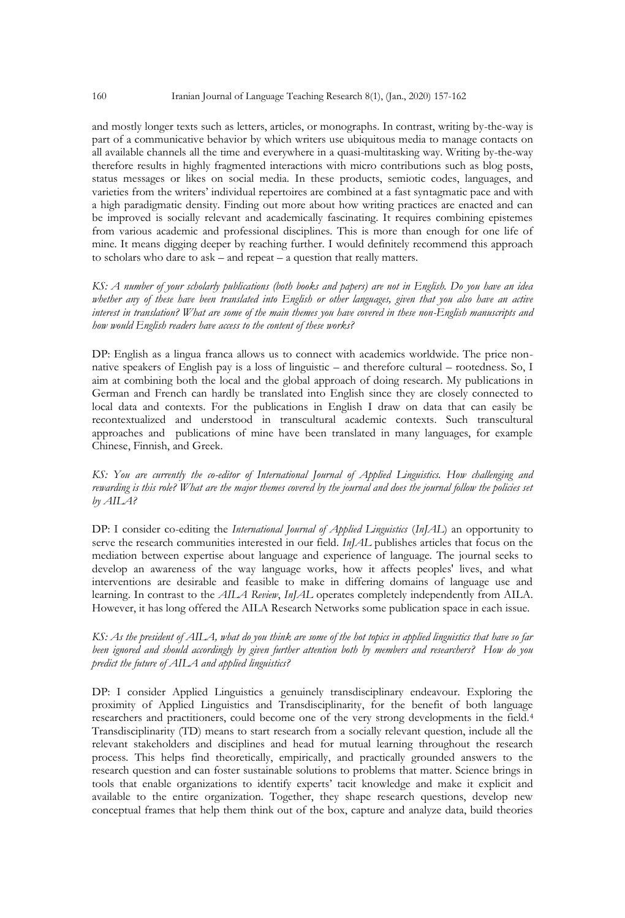and mostly longer texts such as letters, articles, or monographs. In contrast, writing by-the-way is part of a communicative behavior by which writers use ubiquitous media to manage contacts on all available channels all the time and everywhere in a quasi-multitasking way. Writing by-the-way therefore results in highly fragmented interactions with micro contributions such as blog posts, status messages or likes on social media. In these products, semiotic codes, languages, and varieties from the writers' individual repertoires are combined at a fast syntagmatic pace and with a high paradigmatic density. Finding out more about how writing practices are enacted and can be improved is socially relevant and academically fascinating. It requires combining epistemes from various academic and professional disciplines. This is more than enough for one life of mine. It means digging deeper by reaching further. I would definitely recommend this approach to scholars who dare to ask – and repeat – a question that really matters.

*KS: A number of your scholarly publications (both books and papers) are not in English. Do you have an idea whether any of these have been translated into English or other languages, given that you also have an active interest in translation? What are some of the main themes you have covered in these non-English manuscripts and how would English readers have access to the content of these works?* 

DP: English as a lingua franca allows us to connect with academics worldwide. The price nonnative speakers of English pay is a loss of linguistic – and therefore cultural – rootedness. So, I aim at combining both the local and the global approach of doing research. My publications in German and French can hardly be translated into English since they are closely connected to local data and contexts. For the publications in English I draw on data that can easily be recontextualized and understood in transcultural academic contexts. Such transcultural approaches and publications of mine have been translated in many languages, for example Chinese, Finnish, and Greek.

*KS: You are currently the co-editor of International Journal of Applied Linguistics. How challenging and rewarding is this role? What are the major themes covered by the journal and does the journal follow the policies set by AILA?*

DP: I consider co-editing the *International Journal of Applied Linguistics* (*InJAL*) an opportunity to serve the research communities interested in our field. *InJAL* publishes articles that focus on the mediation between expertise about language and experience of language. The journal seeks to develop an awareness of the way language works, how it affects peoples' lives, and what interventions are desirable and feasible to make in differing domains of language use and learning. In contrast to the *AILA Review*, *InJAL* operates completely independently from AILA. However, it has long offered the AILA Research Networks some publication space in each issue.

*KS: As the president of AILA, what do you think are some of the hot topics in applied linguistics that have so far been ignored and should accordingly by given further attention both by members and researchers? How do you predict the future of AILA and applied linguistics?*

DP: I consider Applied Linguistics a genuinely transdisciplinary endeavour. Exploring the proximity of Applied Linguistics and Transdisciplinarity, for the benefit of both language researchers and practitioners, could become one of the very strong developments in the field.<sup>4</sup> Transdisciplinarity (TD) means to start research from a socially relevant question, include all the relevant stakeholders and disciplines and head for mutual learning throughout the research process. This helps find theoretically, empirically, and practically grounded answers to the research question and can foster sustainable solutions to problems that matter. Science brings in tools that enable organizations to identify experts' tacit knowledge and make it explicit and available to the entire organization. Together, they shape research questions, develop new conceptual frames that help them think out of the box, capture and analyze data, build theories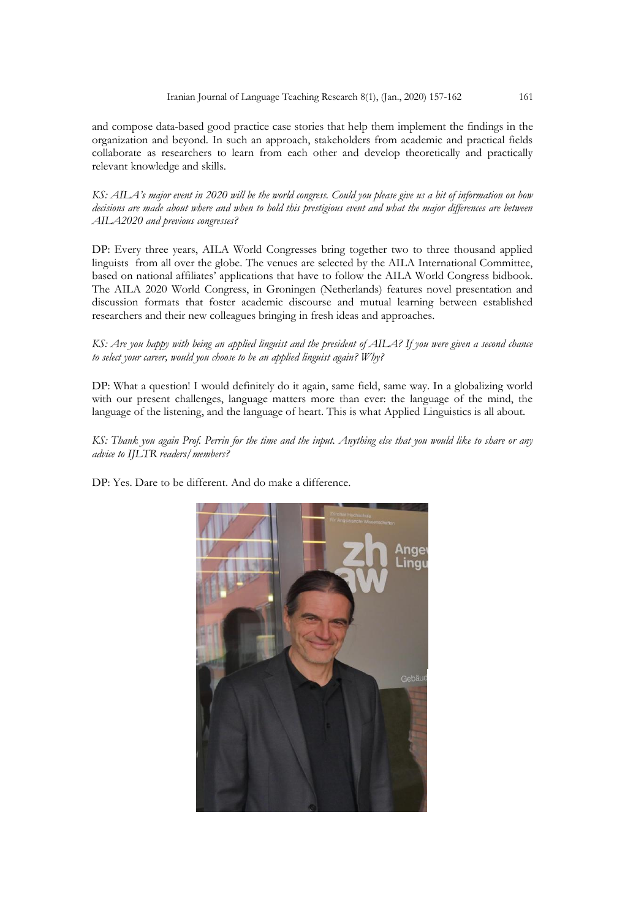and compose data-based good practice case stories that help them implement the findings in the organization and beyond. In such an approach, stakeholders from academic and practical fields collaborate as researchers to learn from each other and develop theoretically and practically relevant knowledge and skills.

*KS: AILA's major event in 2020 will be the world congress. Could you please give us a bit of information on how decisions are made about where and when to hold this prestigious event and what the major differences are between AILA2020 and previous congresses?*

DP: Every three years, AILA World Congresses bring together two to three thousand applied linguists from all over the globe. The venues are selected by the AILA International Committee, based on national affiliates' applications that have to follow the AILA World Congress bidbook. The AILA 2020 World Congress, in Groningen (Netherlands) features novel presentation and discussion formats that foster academic discourse and mutual learning between established researchers and their new colleagues bringing in fresh ideas and approaches.

### *KS: Are you happy with being an applied linguist and the president of AILA? If you were given a second chance to select your career, would you choose to be an applied linguist again? Why?*

DP: What a question! I would definitely do it again, same field, same way. In a globalizing world with our present challenges, language matters more than ever: the language of the mind, the language of the listening, and the language of heart. This is what Applied Linguistics is all about.

*KS: Thank you again Prof. Perrin for the time and the input. Anything else that you would like to share or any advice to IJLTR readers/members?*

DP: Yes. Dare to be different. And do make a difference.